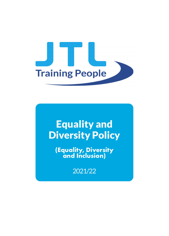

# Equality and Diversity Policy

**(Equality, Diversity and Inclusion)**

2021/22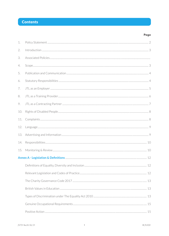## **Contents**

| 1.  |  |  |
|-----|--|--|
| 2.  |  |  |
| 3.  |  |  |
| 4.  |  |  |
| 5.  |  |  |
| 6.  |  |  |
| 7.  |  |  |
| 8.  |  |  |
| 9.  |  |  |
| 10. |  |  |
| 11. |  |  |
| 12. |  |  |
| 13. |  |  |
| 14. |  |  |
| 15. |  |  |
|     |  |  |
|     |  |  |
|     |  |  |
|     |  |  |
|     |  |  |
|     |  |  |
|     |  |  |
|     |  |  |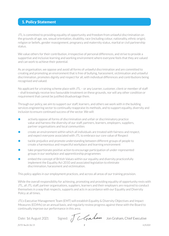## 1. Policy Statement

JTL is committed to providing equality of opportunity and freedom from unlawful discrimination on the grounds of age, sex, sexual orientation, disability, race (including colour, nationality, ethnic origin), religion or beliefs, gender reassignment, pregnancy and maternity status, marital or civil partnership status.

We value others for their contribution, irrespective of personal differences, and strive to provide a supportive and inclusive learning and working environment where everyone feels that they are valued and can work to achieve their potential.

As an organisation, we oppose and avoid all forms of unlawful discrimination and are committed to creating and promoting an environment that is free of bullying, harassment, victimisation and unlawful discrimination, promotes dignity and respect for all, with individual differences and contributions being recognised and valued.

No applicant for a training scheme place with JTL – or any Learner, customer, client or member of staff – shall knowingly receive less favourable treatment on these grounds, nor will any other condition or requirement that cannot be justified disadvantage them.

Through our policy, we aim to support our staff, learners, and others we work with in the building services engineering sector to continually reappraise its methods, and to support equality, diversity and inclusion to ensure continued success of the sector. We will:

- **•** actively oppose all forms of discrimination and unfair or discriminatory practice value and harness the diversity of our staff, partners, learners, employers, suppliers, partner organisations and local communities
- **•** create an environment within which all individuals are treated with fairness and respect, and expect everyone associated with JTL to embrace our core value of Respect
- tackle prejudice and promote understanding between different groups of people to create a harmonious and respectful workplace and learning environment
- **•** take proportionate positive action to encourage participation of under-represented groups in our workplace and apprenticeship programmes
- embed the concept of British Values within our equality and diversity practicesfully implement the Equality Act 2010 and associated legislation to eliminate discrimination, harassment and victimisation.

This policy applies in our employment practices, and across all areas of ourtraining provision.

While the overall responsibility for achieving, promoting and providing equality of opportunity rests with JTL, all JTL staff, partner organisations, suppliers, learners and their employers are required to conduct themselves in a way that respects, supports and acts in accordance with our Equality and Diversity Policy at all times.

JTL's Executive Management Team (EMT) will establish Equality & Diversity Objectives and Impact Measures (EDIMs) on an annual basis, and regularly review progress against these with the Board to continually improve our performance in this area.

Date: 1st August 2021 Signed: JCGAMAM Jon Graham, Chief Executive

JTL701 Rev26 06/21 2 © JTL2021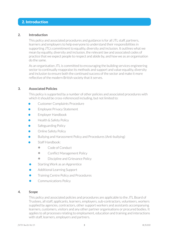## 2. Introduction

#### **2. Introduction**

This policy and associated procedures and guidance is for all JTL staff, partners, learners and employers to help everyone to understand their responsibilities in supporting JTL's commitment to equality, diversity and inclusion. It outlines what we mean by equality, diversity and inclusion, the relevant law and associated codes of practice that we expect people to respect and abide by, and how we as an organisation do the same.

As an organisation JTL is committed to encouraging the building services engineering sector to continually reappraise its methods and support and value equality, diversity and inclusion to ensure both the continued success of the sector and make it more reflective of the modern British society that it serves.

#### **3. Associated Policies**

This policy is supported by a number of other policies and associated procedures with which it should be cross-referenced including, but not limited to:

- **•** Customer Complaints Procedure
- **•** Employee Privacy Statement
- **•** Employer Handbook
- **•** Health & Safety Policy
- **•** Safeguarding Policy
- **•** Online Safety Policy
- **•** Bullying and Harassment Policy and Procedures (Anti-bullying)
- **•** Staff Handbook:
	- **•** Code of Conduct
	- Conflict Management Policy
	- Discipline and Grievance Policy
- **•** Starting Work as an Apprentice
- **•** Additional Learning Support
- **•** Training Centre Policy and Procedures
- **•** Communications Policy

#### **4. Scope**

This policy and associated policies and procedures are applicable to the JTL Board of Trustees, all staff, applicants, learners, employers, sub-contractors, volunteers, workers supplied by agencies, contractors, other support workers and assistants accompanying learners, customers, visitors and any other partner organisations or procured bodies. It applies to all processes relating to employment, education and training and interactions with staff, learners, employers and partners.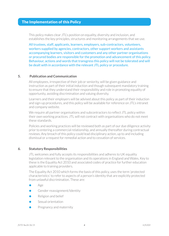### The Implementation of this Policy

This policy makes clear JTL's position on equality, diversity and inclusion, and establishes the key principles, structures and monitoring arrangements that we use.

All trustees, staff, applicants, learners, employers, sub-contractors, volunteers, workers supplied by agencies, contractors, other support workers and assistants accompanying learners, visitors and customers and any other partner organisations or procured bodies are responsible for the promotion and advancement of this policy. Behaviour, actions and words that transgress this policy will not be tolerated and will be dealt with in accordance with the relevant JTL policy or procedure.

#### **5. Publication and Communication**

All employees, irrespective of their job or seniority, will be given guidance and instruction as part of their initial induction and though subsequent mandatory training to ensure that they understand their responsibility and role in promoting equality of opportunity, avoiding discrimination and valuing diversity.

Learners and their employers will be advised about this policy as part of their induction and sign-up procedures, and this policy will be available forreference on JTL's intranet and company website.

We require all partner organisations and subcontractors to reflect JTL policy within their own working practices. JTL will not contract with organisations who do not meet these standards.

Policies and working practices will be reviewed both as part of our due diligence activity prior to entering a commercial relationship, and annually thereafter during contractual reviews. Any breach of this policy could lead disciplinary action, up to and including dismissal or a request for remedial action and to cessation of services.

#### **6. Statutory Responsibilities**

JTL welcomes and fully accepts its responsibilities and adheres to UK equality legislation relevant to the organisation and its operations in England and Wales. Key to these is the Equality Act 2010 and associated codes of practice for further education applicable to training providers.

The Equality Act 2010 which forms the basis of this policy, uses the term 'protected characteristics' to refer to aspects of a person's identity that are explicitly protected from unlawful discrimination. These are:

- **•** Age
- **•** Gender reassignment/Identity
- **•** Religion and belief
- **Sexual orientation**
- **•** Pregnancy and maternity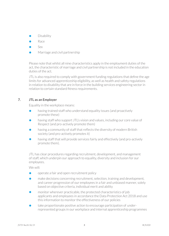- **•** Disability
- **•** Race
- **•** Sex
- **•** Marriage and civil partnership

Please note that whilst all nine characteristics apply in the employment duties of the act, the characteristic of marriage and civil partnership is not included in the education duties of the act.

JTL is also required to comply with government funding regulations that define the age limits for advanced apprenticeship eligibility, as well as health and safety regulations in relation to disability that are in force in the building services engineering sector in relation to certain standard fitness requirements.

#### **7. JTL as an Employer**

Equality in the workplace means:

- **•** having trained staff who understand equality issues (and proactively promote these)
- **•** having staff who support JTL's vision and values, including our core value of Respect (and pro-actively promote them)
- **•** having a community of staff thatreflects the diversity of modern British society (and pro-actively promotes it)
- **•** having staff that will provide services fairly and effectively (and pro-actively promote them).

JTL has clear procedures regarding recruitment, development, and management of staff, which underpin our approach to equality, diversity and inclusion for our employees.

We will:

- **•** operate a fair and open recruitment policy
- make decisions concerning recruitment, selection, training and development, and career progression of our employees in a fair and unbiased manner, solely based on objective criteria, individual merit and ability
- **•** monitor wherever practicable, the protected characteristics of job applicants and employees in accordance the Data Protection Act 2018 and use this information to monitor the effectiveness of our policies
- **•** take proportionate positive action to encourage participation of underrepresented groups in our workplace and internal apprenticeship programmes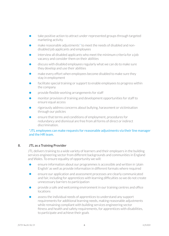- **•** take positive action to attract under-represented groups through targeted marketing activity
- make reasonable adjustments<sup>\*</sup> to meet the needs of disabled and non- disabled job applicants and employees
- **interview all disabled applicants who meet the minimum criteria for a job** vacancy and consider them on their abilities
- **•** discuss with disabled employees regularly what we can do to make sure they develop and use their abilities
- **•** make every effort when employees become disabled to make sure they stay in employment
- **•** facilitate special training or support to enable employees to progress within the company
- **provide flexible working arrangements for staff**
- **•** monitor provision of training and development opportunities for staff to ensure equal access
- rigorously address concerns about bullying, harassment or victimisation through our policies
- ensure that terms and conditions of employment, procedures for redundancy and dismissal are free from all forms of direct or indirect discrimination.

#### \*JTL employees can make requests for reasonable adjustments via their line manager and the HR team.

#### **8. JTL as a Training Provider**

JTL delivers training to a wide variety of learners and their employers in the building services engineering sector from different backgrounds and communities in England and Wales. To ensure equality of opportunity we will:

- ensure information about our programmes is accessible and written in 'plain English' as well as provide information in different formats where required
- **•** ensure our application and assessment processes are clearly communicated and fair, including for apprentices with learning difficulties so we do not create unnecessary barriers to participation
- **provide a safe and welcoming environment in our training centres and office** locations
- **•** assess the individual needs of apprentices to understand any support requirements for additional learning needs, making reasonable adjustments while remaining compliant with building services engineering sector fitness and health and safety requirements, for apprentices with disabilities, to participate and achieve their goals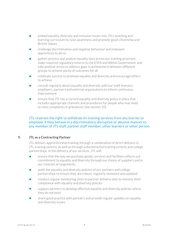- embed equality, diversity and inclusion issues into JTL's teaching and learning curriculum to raise awareness and promote good citizenship and British Values
- **•** challenge discrimination and negative behaviour and empower apprentices to do so
- gather, process and analyse equality data across our training provision, make required regulatory returns to the ESFA and Welsh Government, and take positive action to address gaps in achievement between different groups to achieve parity of outcomes for all
- **•** celebrate success to promote equality and diversity and encourage others to achieve
- consult regularly about equality and diversity with our staff, learners, employers, partners and external organisations to inform continuous improvement
- ensure that JTL has a current equality and diversity policy in place that includes appropriate channels and procedures for people who may need to raise complaints or grievances (see section 10).

#### JTL reserves the right to withdraw its training services from any learner or employer if they behave in a discriminatory, disruptive or abusive manner to any member of JTL staff, partner staff member, other learners or other person.

#### **9. JTL as a Contracting Partner**

JTL delivers apprenticeship training through a combination of direct delivery in JTL training centres, as well as through subcontracted training centres and college partnerships. In the delivery of our services. JTL will:

- ensure that the way we purchase goods, services and facilities reflects our commitment to equality and diversity through our choice of suppliers and in our contract arrangements
- audit the equality and diversity policies of our partners and college partnerships to ensure they are robust, regularly reviewed and updated
- **•** conduct regular monitoring visits to partner delivery sites to monitor their compliance with equality and diversity policies
- **•** support partners to develop effective equality and diversity policies where they do not exist
- **•** share good practice with partners and provide regular updates on equality and diversity issues.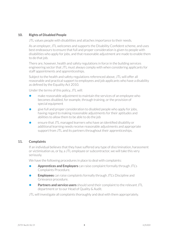#### **10. Rights of Disabled People**

JTL values people with disabilities and attaches importance to their needs.

As an employer, JTL welcomes and supports the Disability Confident scheme, and uses best endeavours to ensure that full and proper consideration is given to people with disabilities who apply for jobs, and that reasonable adjustment are made to enable them to do that job.

There are, however, health and safety regulations in force in the building services engineering sector that JTL must always comply with when considering applicants for staff appointments and apprenticeships.

Subject to the health and safety regulations referenced above, JTL will offer all reasonable and practical support to employees and job applicants who have a disability as defined by the Equality Act 2010.

Under the terms of this policy, JTL will:

- **Franch reasonable adjustment to maintain the services of an employee who** becomes disabled, for example, through training, or the provision of special equipment
- give full and proper consideration to disabled people who apply for jobs, having regard to making reasonable adjustments for their aptitudes and abilities to allow them to be able to do the job
- **•** ensure that JTL managed learners who have an identified disability or additional learning needs receive reasonable adjustments and appropriate support from JTL and its partners throughout their apprenticeships.

#### **11. Complaints**

If an individual believes that they have suffered any type of discrimination, harassment or victimisation as, or by, a JTL employee or subcontractor, we will take this very seriously.

We have the following procedures in place to deal with complaints:

- **• Apprentices and Employers** can raise complaint formally through JTL's Complaints Procedure.
- **• Employees** can raise complaints formally through JTL's Discipline and Grievance procedure.
- **• Partners and service users** should send their complaint to the relevant JTL department or to our Head of Quality & Audit.

JTL will investigate all complaints thoroughly and deal with them appropriately.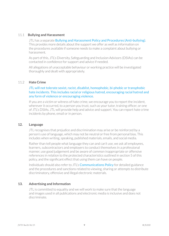#### 11.1 **Bullying and Harassment**

JTL has a separate Bullying and Harassment Policy and Procedures (Anti-bullying). This provides more details about the support we offer as well as information on the procedures available if someone needs to make a complaint about bullying or harassment.

As part of this, JTL's Diversity, Safeguarding and Inclusion Advisors (DSIAs) can be contacted in confidence for support and advice if needed.

All allegations of unacceptable behaviour or working practice will be investigated thoroughly and dealt with appropriately.

#### 11.2 **Hate Crime**

JTL will not tolerate sexist, racist, disablist, homophobic, bi-phobic or transphobic hate incidents. This includes racial or religious hatred, encouraging racial hatred and any form of violence or encouraging violence.

If you are a victim or witness of hate crime, we encourage you to report the incident, wherever it occurred, to a person you trust, such as your tutor, training officer, or one of JTL's DSIAs. JTL will provide help and advice and support. You can report hate crime incidents by phone, email or in person.

#### **12. Language**

JTL recognises that prejudice and discrimination may arise or be reinforced by a person's use of language, which may not be neutral or free from personal bias. This includes when writing, speaking, published materials, emails, and social media.

Rather than tell people what language they can and can't use, we ask all employees, learners, subcontractors and employers to conduct themselves in a professional manner, use good judgement and be aware of common inappropriate or offensive references in relation to the protected characteristics outlined in section 5 of this policy, and the significant effect that using them can have on people.

Individuals should also refer to JTL's **Communications Policy** for detailed guidance and the procedures and sanctions related to viewing, sharing or attempts to distribute discriminatory, offensive and illegal electronic materials.

#### **13. Advertising and Information**

JTL is committed to equality and we will work to make sure that the language and images used in all publications and electronic media is inclusive and does not discriminate.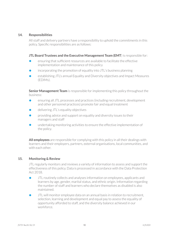#### **14. Responsibilities**

All staff and delivery partners have a responsibility to uphold the commitments in this policy. Specific responsibilities are as follows:

#### **JTL Board Trustees and the Executive Management Team (EMT)** is responsible for:

- ensuring that sufficient resources are available to facilitate the effective implementation and maintenance of this policy
- incorporating the promotion of equality into JTL's business planning
- establishing JTL's annual Equality and Diversity objectives and Impact Measures (EDIMs).

**Senior Management Team** is responsible for implementing this policy throughout the business:

- **•** ensuring all JTL processes and practices (including recruitment, development and other personnel practices) promote fair and equal treatment
- delivering JTL's equality objectives
- **•** providing advice and support on equality and diversity issues to their managers and staff
- **•** undertaking monitoring activities to ensure the effective implementation of the policy.

**All employees** are responsible for complying with this policy in all their dealings with learners and their employers, partners, external organisations, local communities, and with each other.

#### **15. Monitoring & Review**

JTL regularly monitors and reviews a variety of information to assess and support the effectiveness of this policy. Data is processed in accordance with the Data Protection Act 2018.

- **•** JTL routinely collects and analyses information on employees, applicants and learners by age, gender, marital status, and ethnic origin. Information regarding the number of staff and learners who declare themselves as disabled is also maintained.
- **JTL** will monitor employee data on an annual basis in relation to recruitment, selection, learning and development and equal pay to assess the equality of opportunity afforded to staff, and the diversity balance achieved in our workforce.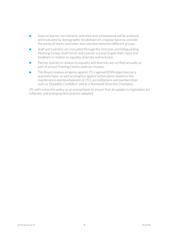- Data on learner recruitment, retention and achievement will be analysed and evaluated by demographic breakdown on a regular basis to consider the parity of starts, outcomes and retention between different groups.
- **•** Staff and Learners are consulted through the Inclusion and Safeguarding Working Group, Staff Forum and Learner surveys to gain their input and feedback in relation to equality, diversity and inclusion.
- Partner policies in relation to equality and diversity are verified annually as part of annual Training Centre contract reviews.
- The Board reviews progress against JTL's agreed EDIM objectives on a quarterly basis, as well as progress against action plans related to the maintenance and development of JTL's accreditations and memberships such as 'Disability Confident' and as a Stonewall Diversity Champion.

JTL will review this policy on an annual basis to ensure that all updates to legislation are reflected, and emerging best practice adopted.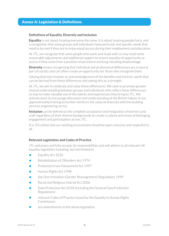## Annex A: Legislation & Definitions

#### **Definitions of Equality, Diversity and Inclusion**

**Equality** is not about treating everyone the same. It is about treating people fairly, and a recognition that some groups and individuals have particular and specific needs that need to be met if they are to enjoy equal access during their employment and education.

At JTL, we recognise that some people who work and study with us may need some reasonable adjustments and additional support to ensure equality of opportunity or access if they come from a position of persistent and long-standing disadvantage.

**Diversity** means recognising that individual and professional differences are a natural part of society and can often create an opportunity for those who recognise them.

Valuing diversity involves an acknowledgement of the benefits and intrinsic worth that can be derived from these differences and seeing this as a strength.

At JTL, we aim to celebrate and value these differences. We seek to promote greater mutual understanding between groups and individuals who reflect these differences as way to make valuable use of the talents and experiences they bring to JTL. We actively work to encourage discussion and understanding of the British Values in our apprenticeship training to further reinforce the value of diversity with the building services engineering sector.

**Inclusion** can be defined as the complete acceptance and integration of learners and staffregardless of their diverse backgrounds to create a culture and sense of belonging, engagement and participation across JTL.

It is JTL's ethos that our working environment should be open, inclusive and respectful to all.

#### **Relevant Legislation and Codes of Practice**

JTL welcomes and fully accepts its responsibilities and will adhere to all relevant UK equality legislation including, but not limited to:

- **Equality Act 2010**
- **•** Rehabilitation of Offenders Act 1974
- **•** Protection from Harassment Act 1997
- **•** Human Rights Act 1998
- **Sex Discrimination (Gender Reassignment) Regulations 1999**
- **•** Racial and Religious Hatred Act 2006
- Data Protection Act 2018 (including the General Data Protection Regulations)
- relevant Codes of Practice issued by the Equality & Human Rights Commission
- **•** any amendments to the above legislation.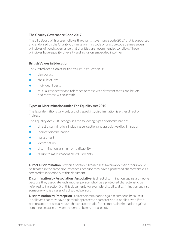#### **The Charity Governance Code 2017**

The JTL Board of Trustees follows the charity governance code 2017 that is supported and endorsed by the Charity Commission. This code of practice code defines seven principles of good governance that charities are recommended to follow. These principles have equality, diversity and inclusion embedded into them.

#### **British Values in Education**

The Ofsted definition of British Values in education is:

- **•** democracy
- **•** the rule of law
- **•** individual liberty
- **•** mutual respect for and tolerance of those with different faiths and beliefs and for those without faith.

#### **Types of Discrimination under The Equality Act 2010**

The legal definitions vary but, broadly speaking, discrimination is either direct or indirect.

The Equality Act 2010 recognises the following types of discrimination:

- **•** direct discrimination, including perception and associative discrimination
- **•** indirect discrimination
- **•** harassment
- **•** victimisation
- **•** discrimination arising from a disability
- failure to make reasonable adjustments.

**Direct Discrimination** is when a person is treated less favourably than others would be treated in the same circumstances because they have a protected characteristic, as referred to in section 5 of this document.

**Discrimination by Association (Associative)** is direct discrimination against someone because they associate with another person who has a protected characteristic, as referred to in section 5 of this document. For example, disability discrimination against someone who is a carer of a disabled person.

**Discrimination by Perception** is direct discrimination against someone because it is believed that they have a particular protected characteristic. It applies even if the person does not actually have that characteristic, for example, discrimination against someone because they are thought to be gay but are not.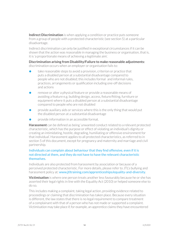**Indirect Discrimination** is when applying a condition or practice puts someone from a group of people with a protected characteristic (see section 5) at a particular disadvantage.

Indirect discrimination can only be justified in exceptional circumstances if it can be shown that the action was reasonable in managing the business or organisation, that is, it is 'a proportionate means of achieving a legitimate aim'.

**Discrimination arising from Disability/Failure to make reasonable adjustments:** discrimination occurs when an employer or organisation fails to:

- take reasonable steps to avoid a provision, criterion or practice that puts a disabled person at a substantial disadvantage compared to people who are not disabled; this includes formal and informal rules, practices, arrangements or qualification including one-off decisions and actions
- **•** remove or alter a physical feature or provide a reasonable means of avoiding a feature e.g. building design, access, fixture/fitting, furniture or equipment where it puts a disabled person at a substantial disadvantage compared to people who are not disabled
- **•** provide auxiliary aids or services where this is the only thing that would put the disabled person at a substantial disadvantage
- **•** provide information in an accessible format.

**Harassment** can be defined as being 'unwanted conduct related to a relevant protected characteristic, which has the purpose or effect of violating an individual's dignity or creating an intimidating, hostile, degrading, humiliating or offensive environment for that individual'. Harassment applies to all protected characteristics, as referred to in section 5 of this document, except for pregnancy and maternity and marriage and civil partnership.

#### Individuals can complain about behaviour that they find offensive, even if it is not directed at them, and they do not have to have the relevant characteristic themselves.

Individuals are also protected from harassment by association or because of a perceived protected characteristic. For more details, please referto JTL's bullying and harassment policy at: www.jtltraining.com/apprenticeships/equality-and-diversity.

**Victimisation** is where one person treats another less favourably because he or she has asserted their legal rights in line with the Equality Act (2010) or helped someone else to do so.

This includes making a complaint, taking legal action, providing evidence related to proceedings or claiming that discrimination has taken place. Because every situation is different, the law states that there is no legal requirement to compare treatment of a complainant with that of a person who has not made or supported a complaint. Victimisation may take place if, for example, an apprentice claims they have encountered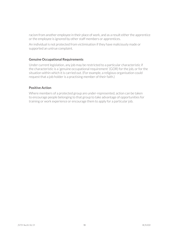racism from another employee in their place of work, and as a result either the apprentice or the employee is ignored by other staff members or apprentices.

An individual is not protected from victimisation if they have maliciously made or supported an untrue complaint.

#### **Genuine Occupational Requirements**

Under current legislation, any job may be restricted to a particular characteristic if the characteristic is a 'genuine occupational requirement' (GOR) for the job, or for the situation within which it is carried out. (For example, a religious organisation could request that a job holder is a practising member of their faith.)

#### **Positive Action**

Where members of a protected group are under-represented, action can be taken to encourage people belonging to that group to take advantage of opportunities for training or work experience or encourage them to apply for a particular job.